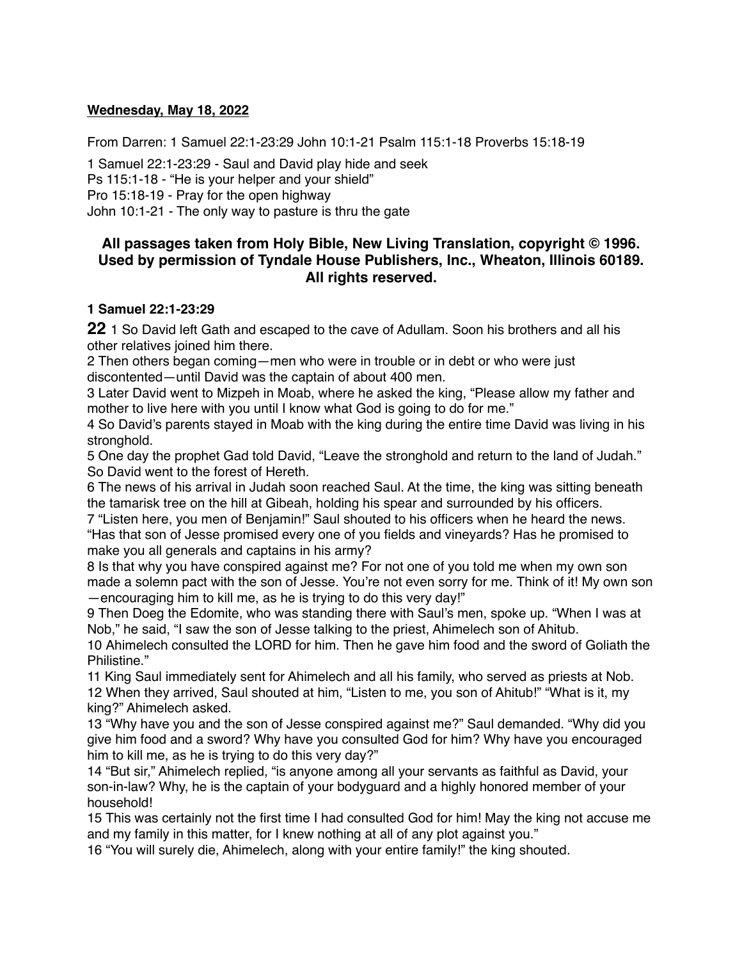#### **Wednesday, May 18, 2022**

From Darren: 1 Samuel 22:1-23:29 John 10:1-21 Psalm 115:1-18 Proverbs 15:18-19

1 Samuel 22:1-23:29 - Saul and David play hide and seek Ps 115:1-18 - "He is your helper and your shield" Pro 15:18-19 - Pray for the open highway John 10:1-21 - The only way to pasture is thru the gate

# **All passages taken from Holy Bible, [New Living Translation](http://www.newlivingtranslation.com/), copyright © 1996. Used by permission of [Tyndale House Publishers](http://tyndale.com/), Inc., Wheaton, Illinois 60189. All rights reserved.**

#### **1 Samuel 22:1-23:29**

**22** 1 So David left Gath and escaped to the cave of Adullam. Soon his brothers and all his other relatives joined him there.

2 Then others began coming—men who were in trouble or in debt or who were just discontented—until David was the captain of about 400 men.

3 Later David went to Mizpeh in Moab, where he asked the king, "Please allow my father and mother to live here with you until I know what God is going to do for me."

4 So David's parents stayed in Moab with the king during the entire time David was living in his stronghold.

5 One day the prophet Gad told David, "Leave the stronghold and return to the land of Judah." So David went to the forest of Hereth.

6 The news of his arrival in Judah soon reached Saul. At the time, the king was sitting beneath the tamarisk tree on the hill at Gibeah, holding his spear and surrounded by his officers.

7 "Listen here, you men of Benjamin!" Saul shouted to his officers when he heard the news. "Has that son of Jesse promised every one of you fields and vineyards? Has he promised to make you all generals and captains in his army?

8 Is that why you have conspired against me? For not one of you told me when my own son made a solemn pact with the son of Jesse. You're not even sorry for me. Think of it! My own son —encouraging him to kill me, as he is trying to do this very day!"

9 Then Doeg the Edomite, who was standing there with Saul's men, spoke up. "When I was at Nob," he said, "I saw the son of Jesse talking to the priest, Ahimelech son of Ahitub.

10 Ahimelech consulted the LORD for him. Then he gave him food and the sword of Goliath the Philistine."

11 King Saul immediately sent for Ahimelech and all his family, who served as priests at Nob. 12 When they arrived, Saul shouted at him, "Listen to me, you son of Ahitub!" "What is it, my king?" Ahimelech asked.

13 "Why have you and the son of Jesse conspired against me?" Saul demanded. "Why did you give him food and a sword? Why have you consulted God for him? Why have you encouraged him to kill me, as he is trying to do this very day?"

14 "But sir," Ahimelech replied, "is anyone among all your servants as faithful as David, your son-in-law? Why, he is the captain of your bodyguard and a highly honored member of your household!

15 This was certainly not the first time I had consulted God for him! May the king not accuse me and my family in this matter, for I knew nothing at all of any plot against you."

16 "You will surely die, Ahimelech, along with your entire family!" the king shouted.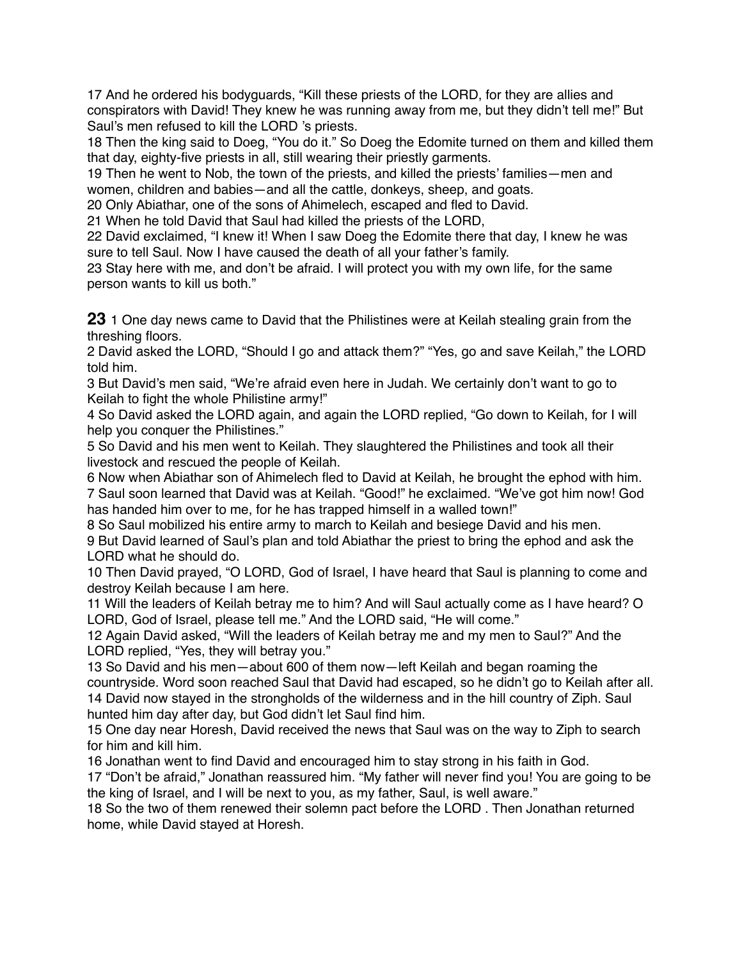17 And he ordered his bodyguards, "Kill these priests of the LORD, for they are allies and conspirators with David! They knew he was running away from me, but they didn't tell me!" But Saul's men refused to kill the LORD 's priests.

18 Then the king said to Doeg, "You do it." So Doeg the Edomite turned on them and killed them that day, eighty-five priests in all, still wearing their priestly garments.

19 Then he went to Nob, the town of the priests, and killed the priests' families—men and women, children and babies—and all the cattle, donkeys, sheep, and goats.

20 Only Abiathar, one of the sons of Ahimelech, escaped and fled to David.

21 When he told David that Saul had killed the priests of the LORD,

22 David exclaimed, "I knew it! When I saw Doeg the Edomite there that day, I knew he was sure to tell Saul. Now I have caused the death of all your father's family.

23 Stay here with me, and don't be afraid. I will protect you with my own life, for the same person wants to kill us both."

**23** 1 One day news came to David that the Philistines were at Keilah stealing grain from the threshing floors.

2 David asked the LORD, "Should I go and attack them?" "Yes, go and save Keilah," the LORD told him.

3 But David's men said, "We're afraid even here in Judah. We certainly don't want to go to Keilah to fight the whole Philistine army!"

4 So David asked the LORD again, and again the LORD replied, "Go down to Keilah, for I will help you conquer the Philistines."

5 So David and his men went to Keilah. They slaughtered the Philistines and took all their livestock and rescued the people of Keilah.

6 Now when Abiathar son of Ahimelech fled to David at Keilah, he brought the ephod with him. 7 Saul soon learned that David was at Keilah. "Good!" he exclaimed. "We've got him now! God has handed him over to me, for he has trapped himself in a walled town!"

8 So Saul mobilized his entire army to march to Keilah and besiege David and his men. 9 But David learned of Saul's plan and told Abiathar the priest to bring the ephod and ask the LORD what he should do.

10 Then David prayed, "O LORD, God of Israel, I have heard that Saul is planning to come and destroy Keilah because I am here.

11 Will the leaders of Keilah betray me to him? And will Saul actually come as I have heard? O LORD, God of Israel, please tell me." And the LORD said, "He will come."

12 Again David asked, "Will the leaders of Keilah betray me and my men to Saul?" And the LORD replied, "Yes, they will betray you."

13 So David and his men—about 600 of them now—left Keilah and began roaming the countryside. Word soon reached Saul that David had escaped, so he didn't go to Keilah after all. 14 David now stayed in the strongholds of the wilderness and in the hill country of Ziph. Saul hunted him day after day, but God didn't let Saul find him.

15 One day near Horesh, David received the news that Saul was on the way to Ziph to search for him and kill him.

16 Jonathan went to find David and encouraged him to stay strong in his faith in God.

17 "Don't be afraid," Jonathan reassured him. "My father will never find you! You are going to be the king of Israel, and I will be next to you, as my father, Saul, is well aware."

18 So the two of them renewed their solemn pact before the LORD . Then Jonathan returned home, while David stayed at Horesh.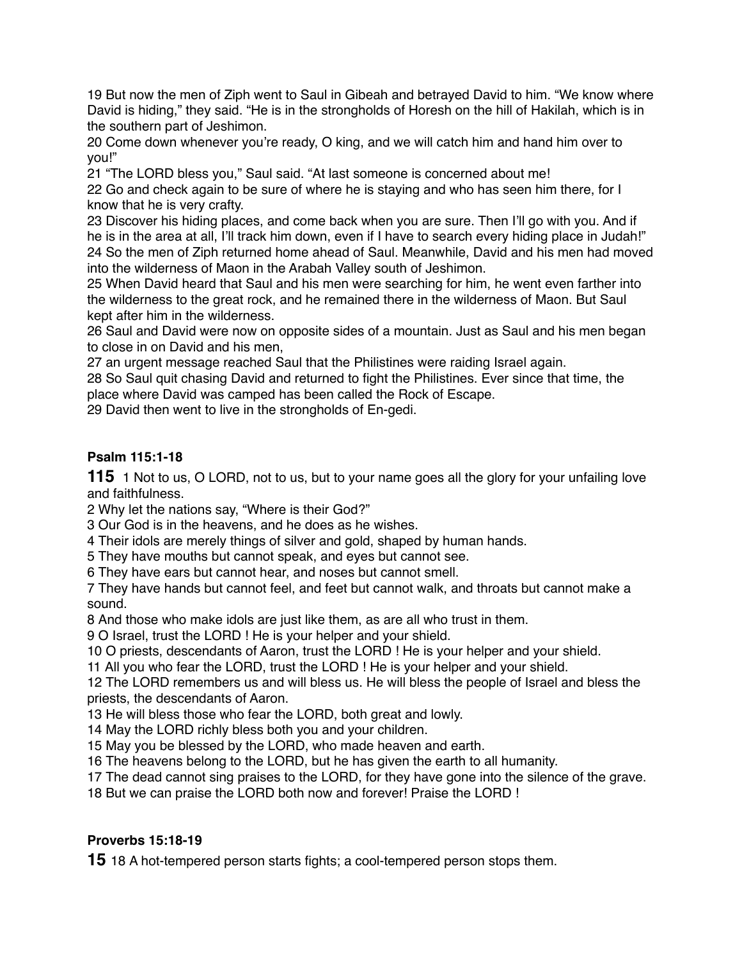But now the men of Ziph went to Saul in Gibeah and betrayed David to him. "We know where David is hiding," they said. "He is in the strongholds of Horesh on the hill of Hakilah, which is in the southern part of Jeshimon.

 Come down whenever you're ready, O king, and we will catch him and hand him over to you!"

"The LORD bless you," Saul said. "At last someone is concerned about me!

 Go and check again to be sure of where he is staying and who has seen him there, for I know that he is very crafty.

 Discover his hiding places, and come back when you are sure. Then I'll go with you. And if he is in the area at all, I'll track him down, even if I have to search every hiding place in Judah!" So the men of Ziph returned home ahead of Saul. Meanwhile, David and his men had moved into the wilderness of Maon in the Arabah Valley south of Jeshimon.

 When David heard that Saul and his men were searching for him, he went even farther into the wilderness to the great rock, and he remained there in the wilderness of Maon. But Saul kept after him in the wilderness.

 Saul and David were now on opposite sides of a mountain. Just as Saul and his men began to close in on David and his men,

an urgent message reached Saul that the Philistines were raiding Israel again.

 So Saul quit chasing David and returned to fight the Philistines. Ever since that time, the place where David was camped has been called the Rock of Escape.

David then went to live in the strongholds of En-gedi.

# **Psalm 115:1-18**

1 Not to us, O LORD, not to us, but to your name goes all the glory for your unfailing love and faithfulness.

Why let the nations say, "Where is their God?"

Our God is in the heavens, and he does as he wishes.

Their idols are merely things of silver and gold, shaped by human hands.

They have mouths but cannot speak, and eyes but cannot see.

They have ears but cannot hear, and noses but cannot smell.

 They have hands but cannot feel, and feet but cannot walk, and throats but cannot make a sound.

And those who make idols are just like them, as are all who trust in them.

O Israel, trust the LORD ! He is your helper and your shield.

O priests, descendants of Aaron, trust the LORD ! He is your helper and your shield.

All you who fear the LORD, trust the LORD ! He is your helper and your shield.

 The LORD remembers us and will bless us. He will bless the people of Israel and bless the priests, the descendants of Aaron.

He will bless those who fear the LORD, both great and lowly.

May the LORD richly bless both you and your children.

May you be blessed by the LORD, who made heaven and earth.

The heavens belong to the LORD, but he has given the earth to all humanity.

The dead cannot sing praises to the LORD, for they have gone into the silence of the grave.

But we can praise the LORD both now and forever! Praise the LORD !

# **Proverbs 15:18-19**

18 A hot-tempered person starts fights; a cool-tempered person stops them.